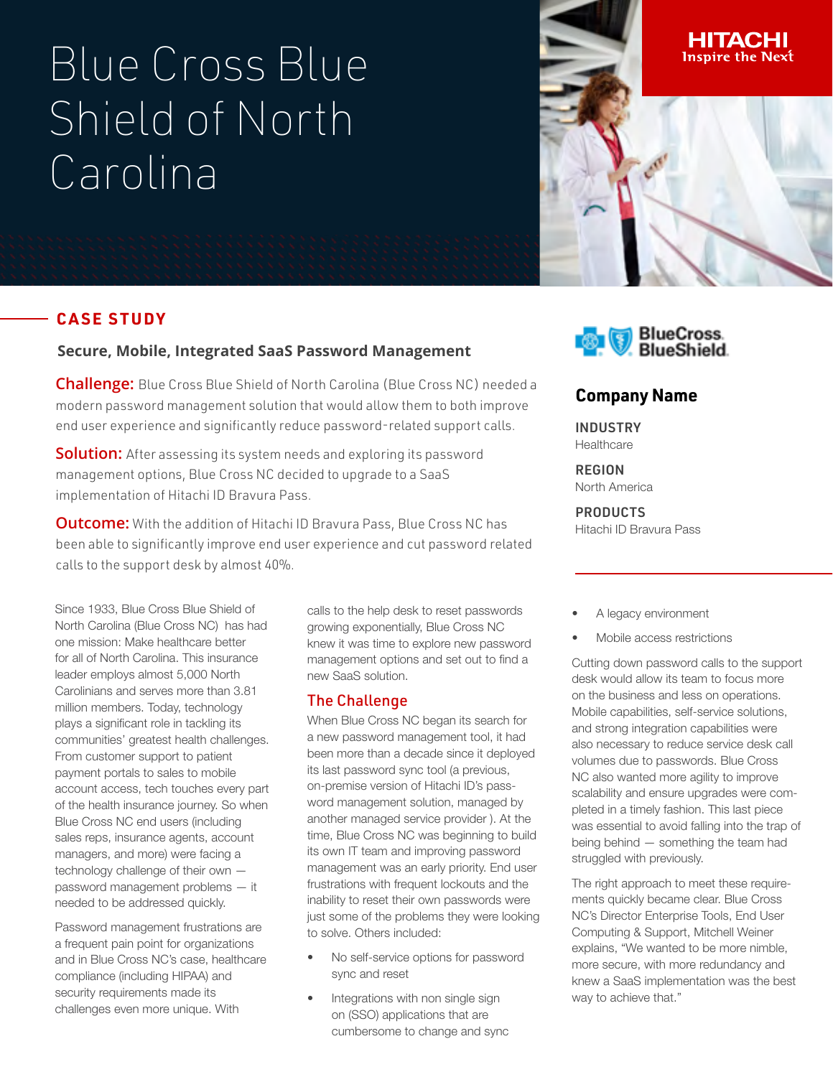# Blue Cross Blue Shield of North Carolina

# **CASE STUDY**

#### **Secure, Mobile, Integrated SaaS Password Management**

**Challenge:** Blue Cross Blue Shield of North Carolina (Blue Cross NC) needed a modern password management solution that would allow them to both improve end user experience and significantly reduce password-related support calls.

**Solution:** After assessing its system needs and exploring its password management options, Blue Cross NC decided to upgrade to a SaaS implementation of Hitachi ID Bravura Pass.

**Outcome:** With the addition of Hitachi ID Bravura Pass, Blue Cross NC has been able to significantly improve end user experience and cut password related calls to the support desk by almost 40%.

Since 1933, Blue Cross Blue Shield of North Carolina (Blue Cross NC) has had one mission: Make healthcare better for all of North Carolina. This insurance leader employs almost 5,000 North Carolinians and serves more than 3.81 million members. Today, technology plays a significant role in tackling its communities' greatest health challenges. From customer support to patient payment portals to sales to mobile account access, tech touches every part of the health insurance journey. So when Blue Cross NC end users (including sales reps, insurance agents, account managers, and more) were facing a technology challenge of their own password management problems — it needed to be addressed quickly.

Password management frustrations are a frequent pain point for organizations and in Blue Cross NC's case, healthcare compliance (including HIPAA) and security requirements made its challenges even more unique. With

calls to the help desk to reset passwords growing exponentially, Blue Cross NC knew it was time to explore new password management options and set out to find a new SaaS solution.

#### The Challenge

When Blue Cross NC began its search for a new password management tool, it had been more than a decade since it deployed its last password sync tool (a previous, on-premise version of Hitachi ID's password management solution, managed by another managed service provider ). At the time, Blue Cross NC was beginning to build its own IT team and improving password management was an early priority. End user frustrations with frequent lockouts and the inability to reset their own passwords were just some of the problems they were looking to solve. Others included:

- No self-service options for password sync and reset
- Integrations with non single sign on (SSO) applications that are cumbersome to change and sync





# **Company Name**

INDUSTRY **Healthcare** 

REGION

North America

## **PRODUCTS**

Hitachi ID Bravura Pass

- A legacy environment
- Mobile access restrictions

Cutting down password calls to the support desk would allow its team to focus more on the business and less on operations. Mobile capabilities, self-service solutions, and strong integration capabilities were also necessary to reduce service desk call volumes due to passwords. Blue Cross NC also wanted more agility to improve scalability and ensure upgrades were completed in a timely fashion. This last piece was essential to avoid falling into the trap of being behind — something the team had struggled with previously.

The right approach to meet these requirements quickly became clear. Blue Cross NC's Director Enterprise Tools, End User Computing & Support, Mitchell Weiner explains, "We wanted to be more nimble, more secure, with more redundancy and knew a SaaS implementation was the best way to achieve that."